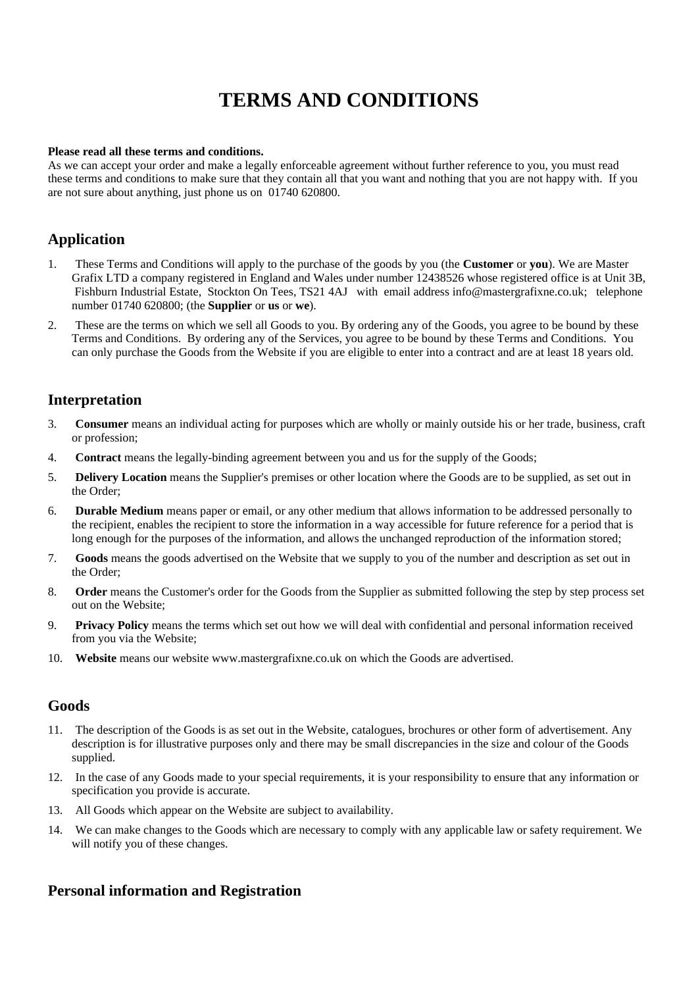# **TERMS AND CONDITIONS**

#### Please read all these terms and conditions.

As we can accept your order and make a legally enforceable agreement without further reference to you, you must read these terms and conditions to make sure that they contain all that you want and nothing that you are not happy with. If you are not sure about anything, just phone us on 01740 620800.

# **Application**

- $\overline{1}$ . These Terms and Conditions will apply to the purchase of the goods by you (the Customer or you). We are Master Grafix LTD a company registered in England and Wales under number 12438526 whose registered office is at Unit 3B, Fishburn Industrial Estate, Stockton On Tees, TS21 4AJ with email address info@mastergrafixne.co.uk; telephone number 01740 620800; (the Supplier or us or we).
- $2.$ These are the terms on which we sell all Goods to you. By ordering any of the Goods, you agree to be bound by these Terms and Conditions. By ordering any of the Services, you agree to be bound by these Terms and Conditions. You can only purchase the Goods from the Website if you are eligible to enter into a contract and are at least 18 years old.

# **Interpretation**

- 3. **Consumer** means an individual acting for purposes which are wholly or mainly outside his or her trade, business, craft or profession;
- **Contract** means the legally-binding agreement between you and us for the supply of the Goods;  $\overline{4}$ .
- Delivery Location means the Supplier's premises or other location where the Goods are to be supplied, as set out in  $5.$ the Order:
- Durable Medium means paper or email, or any other medium that allows information to be addressed personally to 6. the recipient, enables the recipient to store the information in a way accessible for future reference for a period that is long enough for the purposes of the information, and allows the unchanged reproduction of the information stored;
- 7. Goods means the goods advertised on the Website that we supply to you of the number and description as set out in the Order;
- 8. **Order** means the Customer's order for the Goods from the Supplier as submitted following the step by step process set out on the Website;
- Privacy Policy means the terms which set out how we will deal with confidential and personal information received 9. from you via the Website:
- 10. Website means our website www.mastergrafixne.co.uk on which the Goods are advertised.

### Goods

- 11. The description of the Goods is as set out in the Website, catalogues, brochures or other form of advertisement. Any description is for illustrative purposes only and there may be small discrepancies in the size and colour of the Goods supplied.
- 12. In the case of any Goods made to your special requirements, it is your responsibility to ensure that any information or specification you provide is accurate.
- 13. All Goods which appear on the Website are subject to availability.
- 14. We can make changes to the Goods which are necessary to comply with any applicable law or safety requirement. We will notify you of these changes.

# **Personal information and Registration**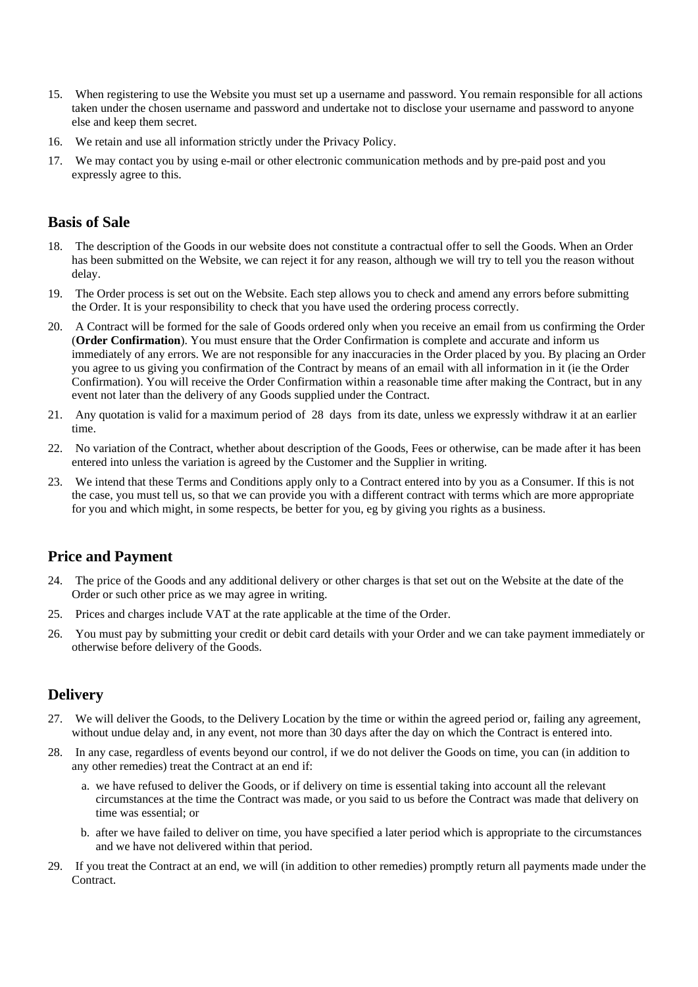- 15. When registering to use the Website you must set up a username and password. You remain responsible for all actions taken under the chosen username and password and undertake not to disclose your username and password to anyone else and keep them secret.
- 16. We retain and use all information strictly under the Privacy Policy.
- 17. We may contact you by using e-mail or other electronic communication methods and by pre-paid post and you expressly agree to this.

### **Basis of Sale**

- The description of the Goods in our website does not constitute a contractual offer to sell the Goods. When an Order 18. has been submitted on the Website, we can reject it for any reason, although we will try to tell you the reason without delay.
- 19. The Order process is set out on the Website. Each step allows you to check and amend any errors before submitting the Order. It is your responsibility to check that you have used the ordering process correctly.
- 20. A Contract will be formed for the sale of Goods ordered only when you receive an email from us confirming the Order (Order Confirmation). You must ensure that the Order Confirmation is complete and accurate and inform us immediately of any errors. We are not responsible for any inaccuracies in the Order placed by you. By placing an Order you agree to us giving you confirmation of the Contract by means of an email with all information in it (ie the Order Confirmation). You will receive the Order Confirmation within a reasonable time after making the Contract, but in any event not later than the delivery of any Goods supplied under the Contract.
- 21. Any quotation is valid for a maximum period of 28 days from its date, unless we expressly withdraw it at an earlier time.
- 22. No variation of the Contract, whether about description of the Goods, Fees or otherwise, can be made after it has been entered into unless the variation is agreed by the Customer and the Supplier in writing.
- 23. We intend that these Terms and Conditions apply only to a Contract entered into by you as a Consumer. If this is not the case, you must tell us, so that we can provide you with a different contract with terms which are more appropriate for you and which might, in some respects, be better for you, eg by giving you rights as a business.

### **Price and Payment**

- The price of the Goods and any additional delivery or other charges is that set out on the Website at the date of the 24 Order or such other price as we may agree in writing.
- 25. Prices and charges include VAT at the rate applicable at the time of the Order.
- You must pay by submitting your credit or debit card details with your Order and we can take payment immediately or 26. otherwise before delivery of the Goods.

# **Delivery**

- 27. We will deliver the Goods, to the Delivery Location by the time or within the agreed period or, failing any agreement, without undue delay and, in any event, not more than 30 days after the day on which the Contract is entered into.
- In any case, regardless of events beyond our control, if we do not deliver the Goods on time, you can (in addition to 28. any other remedies) treat the Contract at an end if:
	- a. we have refused to deliver the Goods, or if delivery on time is essential taking into account all the relevant circumstances at the time the Contract was made, or you said to us before the Contract was made that delivery on time was essential; or
	- b. after we have failed to deliver on time, you have specified a later period which is appropriate to the circumstances and we have not delivered within that period.
- 29. If you treat the Contract at an end, we will (in addition to other remedies) promptly return all payments made under the Contract.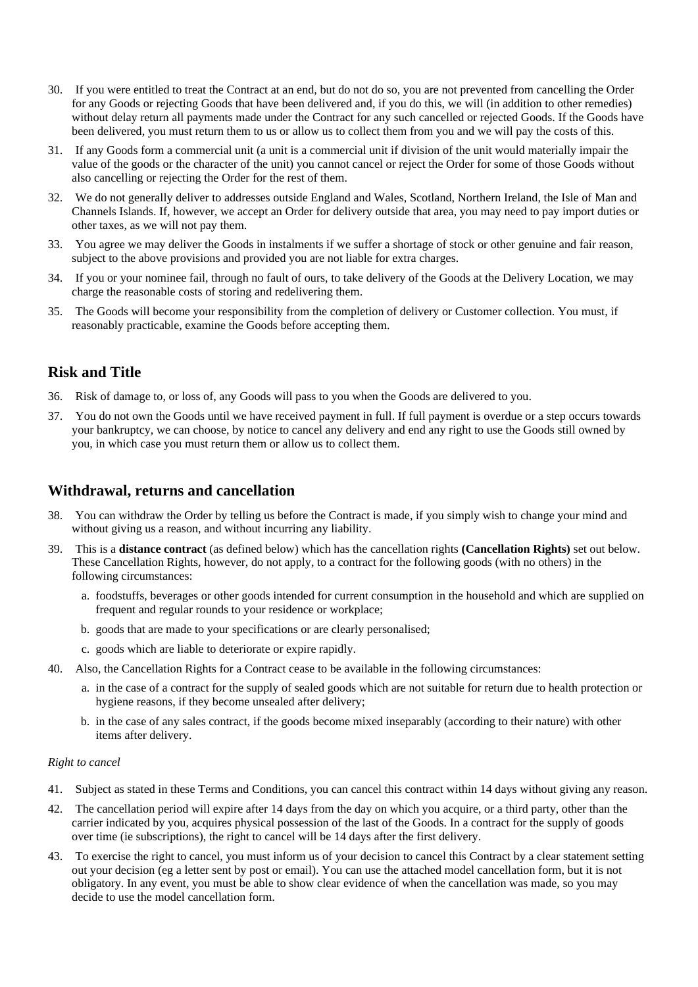- 30. If you were entitled to treat the Contract at an end, but do not do so, you are not prevented from cancelling the Order for any Goods or rejecting Goods that have been delivered and, if you do this, we will (in addition to other remedies) without delay return all payments made under the Contract for any such cancelled or rejected Goods. If the Goods have been delivered, you must return them to us or allow us to collect them from you and we will pay the costs of this.
- 31. If any Goods form a commercial unit (a unit is a commercial unit if division of the unit would materially impair the value of the goods or the character of the unit) you cannot cancel or reject the Order for some of those Goods without also cancelling or rejecting the Order for the rest of them.
- 32. We do not generally deliver to addresses outside England and Wales, Scotland, Northern Ireland, the Isle of Man and Channels Islands. If, however, we accept an Order for delivery outside that area, you may need to pay import duties or other taxes, as we will not pay them.
- 33. You agree we may deliver the Goods in instalments if we suffer a shortage of stock or other genuine and fair reason, subject to the above provisions and provided you are not liable for extra charges.
- If you or your nominee fail, through no fault of ours, to take delivery of the Goods at the Delivery Location, we may 34. charge the reasonable costs of storing and redelivering them.
- The Goods will become your responsibility from the completion of delivery or Customer collection. You must, if 35. reasonably practicable, examine the Goods before accepting them.

# **Risk and Title**

- 36. Risk of damage to, or loss of, any Goods will pass to you when the Goods are delivered to you.
- 37. You do not own the Goods until we have received payment in full. If full payment is overdue or a step occurs towards your bankruptcy, we can choose, by notice to cancel any delivery and end any right to use the Goods still owned by you, in which case you must return them or allow us to collect them.

### Withdrawal, returns and cancellation

- You can withdraw the Order by telling us before the Contract is made, if you simply wish to change your mind and 38 without giving us a reason, and without incurring any liability.
- 39. This is a **distance contract** (as defined below) which has the cancellation rights (Cancellation Rights) set out below. These Cancellation Rights, however, do not apply, to a contract for the following goods (with no others) in the following circumstances:
	- a. foodstuffs, beverages or other goods intended for current consumption in the household and which are supplied on frequent and regular rounds to your residence or workplace;
	- b. goods that are made to your specifications or are clearly personalised;
	- c. goods which are liable to deteriorate or expire rapidly.
- 40. Also, the Cancellation Rights for a Contract cease to be available in the following circumstances:
	- a. in the case of a contract for the supply of sealed goods which are not suitable for return due to health protection or hygiene reasons, if they become unsealed after delivery;
	- b. in the case of any sales contract, if the goods become mixed inseparably (according to their nature) with other items after delivery.

#### Right to cancel

- 41. Subject as stated in these Terms and Conditions, you can cancel this contract within 14 days without giving any reason.
- The cancellation period will expire after 14 days from the day on which you acquire, or a third party, other than the 42. carrier indicated by you, acquires physical possession of the last of the Goods. In a contract for the supply of goods over time (ie subscriptions), the right to cancel will be 14 days after the first delivery.
- To exercise the right to cancel, you must inform us of your decision to cancel this Contract by a clear statement setting 43. out your decision (eg a letter sent by post or email). You can use the attached model cancellation form, but it is not obligatory. In any event, you must be able to show clear evidence of when the cancellation was made, so you may decide to use the model cancellation form.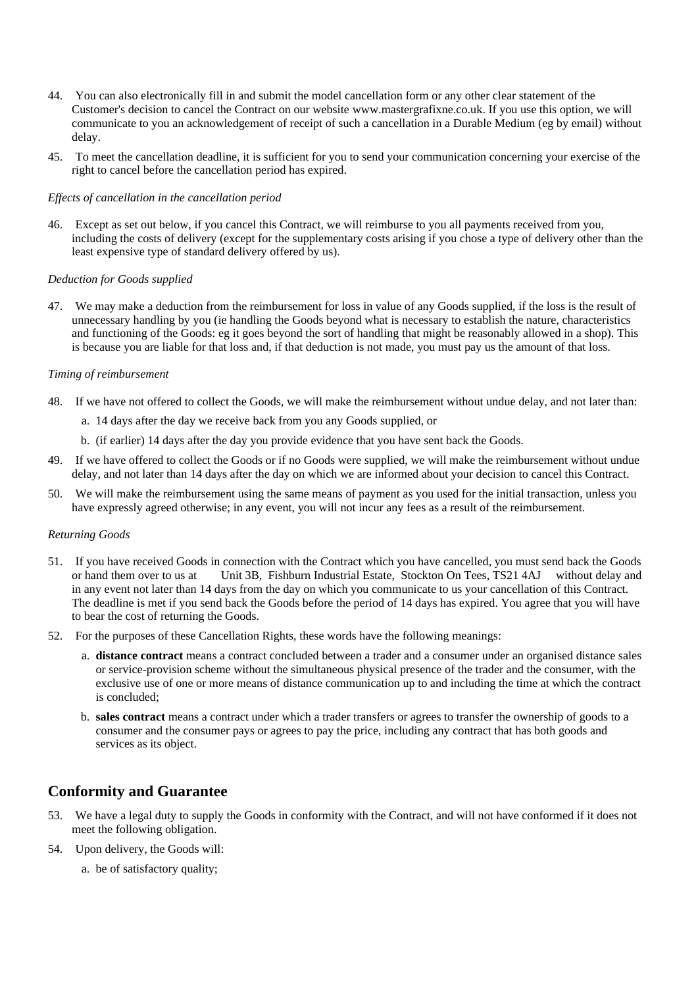- 44. You can also electronically fill in and submit the model cancellation form or any other clear statement of the Customer's decision to cancel the Contract on our website www.mastergrafixne.co.uk. If you use this option, we will communicate to you an acknowledgement of receipt of such a cancellation in a Durable Medium (eg by email) without delav.
- 45. To meet the cancellation deadline, it is sufficient for you to send your communication concerning your exercise of the right to cancel before the cancellation period has expired.

#### Effects of cancellation in the cancellation period

46. Except as set out below, if you cancel this Contract, we will reimburse to you all payments received from you, including the costs of delivery (except for the supplementary costs arising if you chose a type of delivery other than the least expensive type of standard delivery offered by us).

#### Deduction for Goods supplied

47. We may make a deduction from the reimbursement for loss in value of any Goods supplied, if the loss is the result of unnecessary handling by you (ie handling the Goods beyond what is necessary to establish the nature, characteristics and functioning of the Goods: eg it goes beyond the sort of handling that might be reasonably allowed in a shop). This is because you are liable for that loss and, if that deduction is not made, you must pay us the amount of that loss.

#### Timing of reimbursement

- 48. If we have not offered to collect the Goods, we will make the reimbursement without undue delay, and not later than:
	- a. 14 days after the day we receive back from you any Goods supplied, or
	- b. (if earlier) 14 days after the day you provide evidence that you have sent back the Goods.
- 49. If we have offered to collect the Goods or if no Goods were supplied, we will make the reimbursement without undue delay, and not later than 14 days after the day on which we are informed about your decision to cancel this Contract.
- 50. We will make the reimbursement using the same means of payment as you used for the initial transaction, unless you have expressly agreed otherwise; in any event, you will not incur any fees as a result of the reimbursement.

#### **Returning Goods**

- 51. If you have received Goods in connection with the Contract which you have cancelled, you must send back the Goods or hand them over to us at Unit 3B, Fishburn Industrial Estate, Stockton On Tees, TS21 4AJ without delay and in any event not later than 14 days from the day on which you communicate to us your cancellation of this Contract. The deadline is met if you send back the Goods before the period of 14 days has expired. You agree that you will have to bear the cost of returning the Goods.
- 52. For the purposes of these Cancellation Rights, these words have the following meanings:
	- a. distance contract means a contract concluded between a trader and a consumer under an organised distance sales or service-provision scheme without the simultaneous physical presence of the trader and the consumer, with the exclusive use of one or more means of distance communication up to and including the time at which the contract is concluded:
	- b. sales contract means a contract under which a trader transfers or agrees to transfer the ownership of goods to a consumer and the consumer pays or agrees to pay the price, including any contract that has both goods and services as its object.

# **Conformity and Guarantee**

- 53. We have a legal duty to supply the Goods in conformity with the Contract, and will not have conformed if it does not meet the following obligation.
- 54. Upon delivery, the Goods will:
	- a. be of satisfactory quality;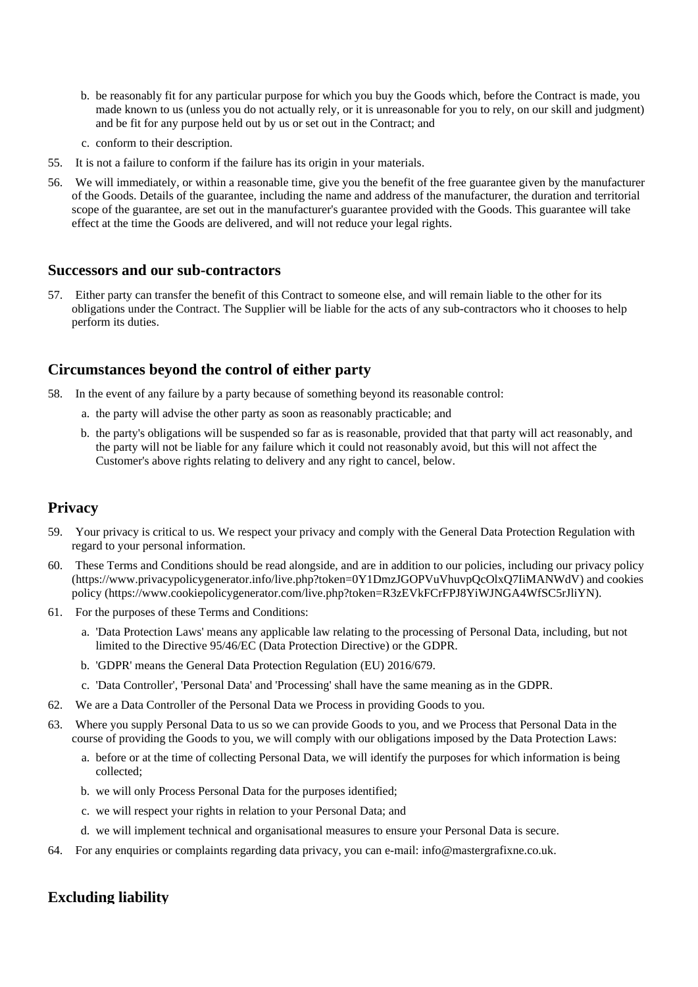- b. be reasonably fit for any particular purpose for which you buy the Goods which, before the Contract is made, you made known to us (unless you do not actually rely, or it is unreasonable for you to rely, on our skill and judgment) and be fit for any purpose held out by us or set out in the Contract; and
- c. conform to their description.
- 55. It is not a failure to conform if the failure has its origin in your materials.
- 56. We will immediately, or within a reasonable time, give you the benefit of the free guarantee given by the manufacturer of the Goods. Details of the guarantee, including the name and address of the manufacturer, the duration and territorial scope of the guarantee, are set out in the manufacturer's guarantee provided with the Goods. This guarantee will take effect at the time the Goods are delivered, and will not reduce your legal rights.

#### **Successors and our sub-contractors**

57. Either party can transfer the benefit of this Contract to someone else, and will remain liable to the other for its obligations under the Contract. The Supplier will be liable for the acts of any sub-contractors who it chooses to help perform its duties.

### Circumstances beyond the control of either party

- 58. In the event of any failure by a party because of something beyond its reasonable control:
	- a. the party will advise the other party as soon as reasonably practicable; and
	- b. the party's obligations will be suspended so far as is reasonable, provided that that party will act reasonably, and the party will not be liable for any failure which it could not reasonably avoid, but this will not affect the Customer's above rights relating to delivery and any right to cancel, below.

### **Privacy**

- 59. Your privacy is critical to us. We respect your privacy and comply with the General Data Protection Regulation with regard to your personal information.
- 60. These Terms and Conditions should be read alongside, and are in addition to our policies, including our privacy policy (https://www.privacypolicygenerator.info/live.php?token=0Y1DmzJGOPVuVhuvpQcOlxQ7IiMANWdV) and cookies policy (https://www.cookiepolicygenerator.com/live.php?token=R3zEVkFCrFPJ8YiWJNGA4WfSC5rJliYN).
- 61. For the purposes of these Terms and Conditions:
	- a. 'Data Protection Laws' means any applicable law relating to the processing of Personal Data, including, but not limited to the Directive 95/46/EC (Data Protection Directive) or the GDPR.
	- b. 'GDPR' means the General Data Protection Regulation (EU) 2016/679.
	- c. 'Data Controller', 'Personal Data' and 'Processing' shall have the same meaning as in the GDPR.
- 62. We are a Data Controller of the Personal Data we Process in providing Goods to you.
- 63. Where you supply Personal Data to us so we can provide Goods to you, and we Process that Personal Data in the course of providing the Goods to you, we will comply with our obligations imposed by the Data Protection Laws:
	- a. before or at the time of collecting Personal Data, we will identify the purposes for which information is being collected:
	- b. we will only Process Personal Data for the purposes identified;
	- c. we will respect your rights in relation to your Personal Data; and
	- d. we will implement technical and organisational measures to ensure your Personal Data is secure.
- 64. For any enquiries or complaints regarding data privacy, you can e-mail: info@mastergrafixne.co.uk.

#### **Excluding liability**